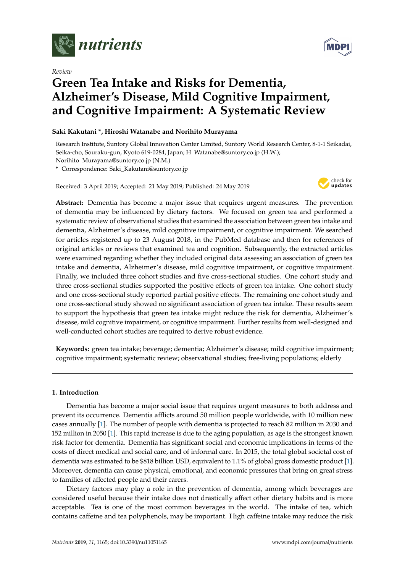

*Review*

# **MDP**

# **Green Tea Intake and Risks for Dementia, Alzheimer's Disease, Mild Cognitive Impairment, and Cognitive Impairment: A Systematic Review**

# **Saki Kakutani \*, Hiroshi Watanabe and Norihito Murayama**

Research Institute, Suntory Global Innovation Center Limited, Suntory World Research Center, 8-1-1 Seikadai, Seika-cho, Souraku-gun, Kyoto 619-0284, Japan; H\_Watanabe@suntory.co.jp (H.W.); Norihito\_Murayama@suntory.co.jp (N.M.)

**\*** Correspondence: Saki\_Kakutani@suntory.co.jp

Received: 3 April 2019; Accepted: 21 May 2019; Published: 24 May 2019



**Abstract:** Dementia has become a major issue that requires urgent measures. The prevention of dementia may be influenced by dietary factors. We focused on green tea and performed a systematic review of observational studies that examined the association between green tea intake and dementia, Alzheimer's disease, mild cognitive impairment, or cognitive impairment. We searched for articles registered up to 23 August 2018, in the PubMed database and then for references of original articles or reviews that examined tea and cognition. Subsequently, the extracted articles were examined regarding whether they included original data assessing an association of green tea intake and dementia, Alzheimer's disease, mild cognitive impairment, or cognitive impairment. Finally, we included three cohort studies and five cross-sectional studies. One cohort study and three cross-sectional studies supported the positive effects of green tea intake. One cohort study and one cross-sectional study reported partial positive effects. The remaining one cohort study and one cross-sectional study showed no significant association of green tea intake. These results seem to support the hypothesis that green tea intake might reduce the risk for dementia, Alzheimer's disease, mild cognitive impairment, or cognitive impairment. Further results from well-designed and well-conducted cohort studies are required to derive robust evidence.

**Keywords:** green tea intake; beverage; dementia; Alzheimer's disease; mild cognitive impairment; cognitive impairment; systematic review; observational studies; free-living populations; elderly

# **1. Introduction**

Dementia has become a major social issue that requires urgent measures to both address and prevent its occurrence. Dementia afflicts around 50 million people worldwide, with 10 million new cases annually [\[1\]](#page-9-0). The number of people with dementia is projected to reach 82 million in 2030 and 152 million in 2050 [\[1\]](#page-9-0). This rapid increase is due to the aging population, as age is the strongest known risk factor for dementia. Dementia has significant social and economic implications in terms of the costs of direct medical and social care, and of informal care. In 2015, the total global societal cost of dementia was estimated to be \$818 billion USD, equivalent to 1.1% of global gross domestic product [\[1\]](#page-9-0). Moreover, dementia can cause physical, emotional, and economic pressures that bring on great stress to families of affected people and their carers.

Dietary factors may play a role in the prevention of dementia, among which beverages are considered useful because their intake does not drastically affect other dietary habits and is more acceptable. Tea is one of the most common beverages in the world. The intake of tea, which contains caffeine and tea polyphenols, may be important. High caffeine intake may reduce the risk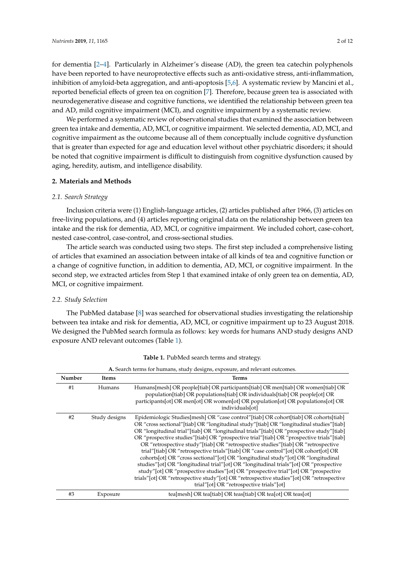for dementia [\[2–](#page-9-1)[4\]](#page-10-0). Particularly in Alzheimer's disease (AD), the green tea catechin polyphenols have been reported to have neuroprotective effects such as anti-oxidative stress, anti-inflammation, inhibition of amyloid-beta aggregation, and anti-apoptosis [\[5](#page-10-1)[,6\]](#page-10-2). A systematic review by Mancini et al., reported beneficial effects of green tea on cognition [\[7\]](#page-10-3). Therefore, because green tea is associated with neurodegenerative disease and cognitive functions, we identified the relationship between green tea and AD, mild cognitive impairment (MCI), and cognitive impairment by a systematic review.

We performed a systematic review of observational studies that examined the association between green tea intake and dementia, AD, MCI, or cognitive impairment. We selected dementia, AD, MCI, and cognitive impairment as the outcome because all of them conceptually include cognitive dysfunction that is greater than expected for age and education level without other psychiatric disorders; it should be noted that cognitive impairment is difficult to distinguish from cognitive dysfunction caused by aging, heredity, autism, and intelligence disability.

#### **2. Materials and Methods**

#### *2.1. Search Strategy*

Inclusion criteria were (1) English-language articles, (2) articles published after 1966, (3) articles on free-living populations, and (4) articles reporting original data on the relationship between green tea intake and the risk for dementia, AD, MCI, or cognitive impairment. We included cohort, case-cohort, nested case-control, case-control, and cross-sectional studies.

The article search was conducted using two steps. The first step included a comprehensive listing of articles that examined an association between intake of all kinds of tea and cognitive function or a change of cognitive function, in addition to dementia, AD, MCI, or cognitive impairment. In the second step, we extracted articles from Step 1 that examined intake of only green tea on dementia, AD, MCI, or cognitive impairment.

### *2.2. Study Selection*

The PubMed database [\[8\]](#page-10-4) was searched for observational studies investigating the relationship between tea intake and risk for dementia, AD, MCI, or cognitive impairment up to 23 August 2018. We designed the PubMed search formula as follows: key words for humans AND study designs AND exposure AND relevant outcomes (Table [1\)](#page-1-0).

<span id="page-1-0"></span>

| A. Search terms for humans, study designs, exposure, and relevant outcomes. |                       |                                                                                                                                                                                                                                                                                                                                                                                                                                                                                                                                                                                                                                                                                                                                                                                                                                                                                                                                                                                     |  |  |  |  |  |  |
|-----------------------------------------------------------------------------|-----------------------|-------------------------------------------------------------------------------------------------------------------------------------------------------------------------------------------------------------------------------------------------------------------------------------------------------------------------------------------------------------------------------------------------------------------------------------------------------------------------------------------------------------------------------------------------------------------------------------------------------------------------------------------------------------------------------------------------------------------------------------------------------------------------------------------------------------------------------------------------------------------------------------------------------------------------------------------------------------------------------------|--|--|--|--|--|--|
| Number                                                                      | <b>Terms</b><br>Items |                                                                                                                                                                                                                                                                                                                                                                                                                                                                                                                                                                                                                                                                                                                                                                                                                                                                                                                                                                                     |  |  |  |  |  |  |
| #1                                                                          | Humans                | Humans[mesh] OR people[tiab] OR participants[tiab] OR men[tiab] OR women[tiab] OR<br>population[tiab] OR populations[tiab] OR individuals[tiab] OR people[ot] OR<br>participants [ot] OR men [ot] OR women [ot] OR population [ot] OR populations [ot] OR<br>individuals[ot]                                                                                                                                                                                                                                                                                                                                                                                                                                                                                                                                                                                                                                                                                                        |  |  |  |  |  |  |
| #2                                                                          | Study designs         | Epidemiologic Studies [mesh] OR "case control" [tiab] OR cohort [tiab] OR cohorts [tiab]<br>OR "cross sectional"[tiab] OR "longitudinal study"[tiab] OR "longitudinal studies"[tiab]<br>OR "longitudinal trial"[tiab] OR "longitudinal trials"[tiab] OR "prospective study"[tiab]<br>OR "prospective studies"[tiab] OR "prospective trial"[tiab] OR "prospective trials"[tiab]<br>OR "retrospective study"[tiab] OR "retrospective studies"[tiab] OR "retrospective<br>trial" [tiab] OR "retrospective trials" [tiab] OR "case control" [ot] OR cohort [ot] OR<br>cohorts[ot] OR "cross sectional" [ot] OR "longitudinal study" [ot] OR "longitudinal<br>studies" [ot] OR "longitudinal trial" [ot] OR "longitudinal trials" [ot] OR "prospective<br>study"[ot] OR "prospective studies"[ot] OR "prospective trial"[ot] OR "prospective<br>trials" [ot] OR "retrospective study" [ot] OR "retrospective studies" [ot] OR "retrospective<br>trial"[ot] OR "retrospective trials"[ot] |  |  |  |  |  |  |
| #3                                                                          | Exposure              | tea[mesh] OR tea[tiab] OR teas[tiab] OR tea[ot] OR teas[ot]                                                                                                                                                                                                                                                                                                                                                                                                                                                                                                                                                                                                                                                                                                                                                                                                                                                                                                                         |  |  |  |  |  |  |

**Table 1.** PubMed search terms and strategy.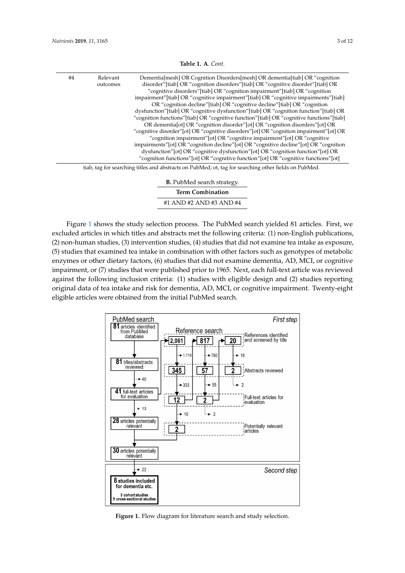| #4 | Relevant<br>outcomes | Dementia[mesh] OR Cognition Disorders[mesh] OR dementia[tiab] OR "cognition<br>disorder" [tiab] OR "cognition disorders" [tiab] OR "cognitive disorder" [tiab] OR |
|----|----------------------|-------------------------------------------------------------------------------------------------------------------------------------------------------------------|
|    |                      | "cognitive disorders" [tiab] OR "cognition impairment" [tiab] OR "cognition                                                                                       |
|    |                      | impairment" [tiab] OR "cognitive impairment" [tiab] OR "cognitive impairments" [tiab]                                                                             |
|    |                      | OR "cognition decline"[tiab] OR "cognitive decline"[tiab] OR "cognition"                                                                                          |
|    |                      | dysfunction"[tiab] OR "cognitive dysfunction"[tiab] OR "cognition function"[tiab] OR                                                                              |
|    |                      | "cognition functions" [tiab] OR "cognitive function" [tiab] OR "cognitive functions" [tiab]                                                                       |
|    |                      | OR dementia [ot] OR "cognition disorder" [ot] OR "cognition disorders" [ot] OR                                                                                    |
|    |                      | "cognitive disorder" [ot] OR "cognitive disorders" [ot] OR "cognition impairment" [ot] OR                                                                         |
|    |                      | "cognition impairment"[ot] OR "cognitive impairment"[ot] OR "cognitive                                                                                            |
|    |                      | impairments" [ot] OR "cognition decline" [ot] OR "cognitive decline" [ot] OR "cognition                                                                           |
|    |                      | dysfunction" [ot] OR "cognitive dysfunction" [ot] OR "cognition function" [ot] OR                                                                                 |
|    |                      | "cognition functions" [ot] OR "cognitive function" [ot] OR "cognitive functions" [ot]                                                                             |
|    |                      | tiab tag for searching titles and abstracts on PubMed: ot tag for searching other fields on PubMed                                                                |

**Table 1. A**. *Cont.*

tiab, tag for searching titles and abstracts on PubMed; ot, tag for searching other fields on PubMed.

| <b>B.</b> PubMed search strategy. |  |  |  |  |  |
|-----------------------------------|--|--|--|--|--|
| <b>Term Combination</b>           |  |  |  |  |  |
| #1 AND #2 AND #3 AND #4           |  |  |  |  |  |

Figure [1](#page-2-0) shows the study selection process. The PubMed search yielded 81 articles. First, we excluded articles in which titles and abstracts met the following criteria: (1) non-English publications, (2) non-human studies, (3) intervention studies, (4) studies that did not examine tea intake as exposure, (5) studies that examined tea intake in combination with other factors such as genotypes of metabolic enzymes or other dietary factors, (6) studies that did not examine dementia, AD, MCI, or cognitive impairment, or (7) studies that were published prior to 1965. Next, each full-text article was reviewed against the following inclusion criteria: (1) studies with eligible design and (2) studies reporting original data of tea intake and risk for dementia, AD, MCI, or cognitive impairment. Twenty-eight eligible articles were obtained from the initial PubMed search.

<span id="page-2-0"></span>

**Figure 1.** Flow diagram for literature search and study selection. **Figure 1.** Flow diagram for literature search and study selection.<br> **Figure 1.** Flow diagram for literature search and study selection.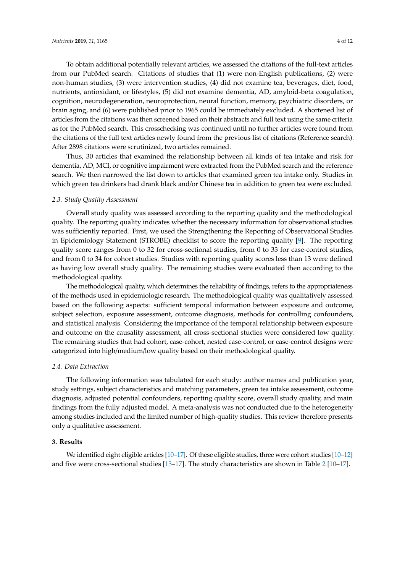To obtain additional potentially relevant articles, we assessed the citations of the full-text articles from our PubMed search. Citations of studies that (1) were non-English publications, (2) were non-human studies, (3) were intervention studies, (4) did not examine tea, beverages, diet, food, nutrients, antioxidant, or lifestyles, (5) did not examine dementia, AD, amyloid-beta coagulation, cognition, neurodegeneration, neuroprotection, neural function, memory, psychiatric disorders, or brain aging, and (6) were published prior to 1965 could be immediately excluded. A shortened list of articles from the citations was then screened based on their abstracts and full text using the same criteria as for the PubMed search. This crosschecking was continued until no further articles were found from the citations of the full text articles newly found from the previous list of citations (Reference search). After 2898 citations were scrutinized, two articles remained.

Thus, 30 articles that examined the relationship between all kinds of tea intake and risk for dementia, AD, MCI, or cognitive impairment were extracted from the PubMed search and the reference search. We then narrowed the list down to articles that examined green tea intake only. Studies in which green tea drinkers had drank black and/or Chinese tea in addition to green tea were excluded.

#### *2.3. Study Quality Assessment*

Overall study quality was assessed according to the reporting quality and the methodological quality. The reporting quality indicates whether the necessary information for observational studies was sufficiently reported. First, we used the Strengthening the Reporting of Observational Studies in Epidemiology Statement (STROBE) checklist to score the reporting quality [\[9\]](#page-10-5). The reporting quality score ranges from 0 to 32 for cross-sectional studies, from 0 to 33 for case-control studies, and from 0 to 34 for cohort studies. Studies with reporting quality scores less than 13 were defined as having low overall study quality. The remaining studies were evaluated then according to the methodological quality.

The methodological quality, which determines the reliability of findings, refers to the appropriateness of the methods used in epidemiologic research. The methodological quality was qualitatively assessed based on the following aspects: sufficient temporal information between exposure and outcome, subject selection, exposure assessment, outcome diagnosis, methods for controlling confounders, and statistical analysis. Considering the importance of the temporal relationship between exposure and outcome on the causality assessment, all cross-sectional studies were considered low quality. The remaining studies that had cohort, case-cohort, nested case-control, or case-control designs were categorized into high/medium/low quality based on their methodological quality.

#### *2.4. Data Extraction*

The following information was tabulated for each study: author names and publication year, study settings, subject characteristics and matching parameters, green tea intake assessment, outcome diagnosis, adjusted potential confounders, reporting quality score, overall study quality, and main findings from the fully adjusted model. A meta-analysis was not conducted due to the heterogeneity among studies included and the limited number of high-quality studies. This review therefore presents only a qualitative assessment.

#### **3. Results**

We identified eight eligible articles [\[10–](#page-10-6)[17\]](#page-10-7). Of these eligible studies, three were cohort studies [\[10](#page-10-6)[–12\]](#page-10-8) and five were cross-sectional studies [\[13–](#page-10-9)[17\]](#page-10-7). The study characteristics are shown in Table [2](#page-4-0) [\[10](#page-10-6)[–17\]](#page-10-7).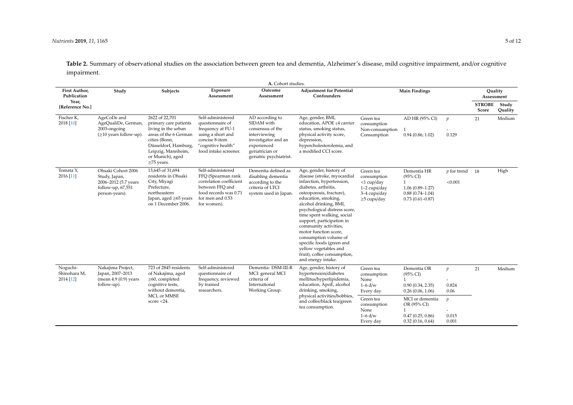*Nutrients* **2019**, *11*, 1165 5 of 12

Table 2. Summary of observational studies on the association between green tea and dementia, Alzheimer's disease, mild cognitive impairment, and/or cognitive impairment.

<span id="page-4-0"></span>

|                                       |                                                                                                    |                                                                                                                                                                                                                                            |                                                                                                                                                   | A. Cohort studies.                                                                                                                                             |                                                                                                                                                                                                                                                                                                                                                                                                                                                                            |                                                                                                |                                                                                                         |                                  |                        |                  |
|---------------------------------------|----------------------------------------------------------------------------------------------------|--------------------------------------------------------------------------------------------------------------------------------------------------------------------------------------------------------------------------------------------|---------------------------------------------------------------------------------------------------------------------------------------------------|----------------------------------------------------------------------------------------------------------------------------------------------------------------|----------------------------------------------------------------------------------------------------------------------------------------------------------------------------------------------------------------------------------------------------------------------------------------------------------------------------------------------------------------------------------------------------------------------------------------------------------------------------|------------------------------------------------------------------------------------------------|---------------------------------------------------------------------------------------------------------|----------------------------------|------------------------|------------------|
| First Author,<br>Publication          | Study                                                                                              | Subjects                                                                                                                                                                                                                                   | Exposure<br>Assessment                                                                                                                            | Outcome<br>Assessment                                                                                                                                          | <b>Adjustment for Potential</b><br>Confounders                                                                                                                                                                                                                                                                                                                                                                                                                             | <b>Main Findings</b>                                                                           |                                                                                                         |                                  | Quality<br>Assessment  |                  |
| Year,<br>[Reference No.]              |                                                                                                    |                                                                                                                                                                                                                                            |                                                                                                                                                   |                                                                                                                                                                |                                                                                                                                                                                                                                                                                                                                                                                                                                                                            |                                                                                                |                                                                                                         |                                  | <b>STROBE</b><br>Score | Study<br>Quality |
| Fischer K,<br>2018 [10]               | AgeCoDe and<br>AgeQualiDe, German,<br>2003-ongoing<br>$(\geq 10$ years follow-up).                 | 2622 of 22,701<br>primary care patients<br>living in the urban<br>areas of the 6 German<br>cities (Bonn,<br>Düsseldorf, Hamburg,<br>Leipzig, Mannheim,<br>or Munich), aged<br>$\geq$ 75 years.                                             | Self-administered<br>questionnaire of<br>frequency at FU-1<br>using a short and<br>concise 8-item<br>"cognitive health"<br>food intake screener.  | AD according to<br>SIDAM with<br>consensus of the<br>interviewing<br>investigator and an<br>experienced<br>geriatrician or<br>geriatric psychiatrist.          | Age, gender, BMI,<br>education, APOE ε4 carrier<br>status, smoking status,<br>physical activity score,<br>depression,<br>hypercholesterolemia, and<br>a modified CCI score.                                                                                                                                                                                                                                                                                                | Green tea<br>consumption<br>Non-consumption<br>Consumption                                     | AD HR (95% CI)<br>0.94(0.86; 1.02)                                                                      | $\boldsymbol{p}$<br>0.129        | 21                     | Medium           |
| Tomata Y,<br>2016 [11]                | Ohsaki Cohort 2006<br>Study, Japan,<br>2006-2012 (5.7 years<br>follow-up, 67,551<br>person-years). | 13,645 of 31,694<br>residents in Ohsaki<br>City, Miyagi<br>Prefecture,<br>northeastern<br>Japan, aged ≥65 years<br>on 1 December 2006.                                                                                                     | Self-administered<br>FFQ (Spearman rank<br>correlation coefficient<br>between FFO and<br>food records was 0.71<br>for men and 0.53<br>for women). | Dementia defined as<br>disabling dementia<br>according to the<br>criteria of LTCI<br>system used in Japan.                                                     | Age, gender, history of<br>disease (stroke, myocardial<br>infarction, hypertension,<br>diabetes, arthritis,<br>osteoporosis, fracture),<br>education, smoking,<br>alcohol drinking, BMI,<br>psychological distress score,<br>time spent walking, social<br>support, participation in<br>community activities,<br>motor function score,<br>consumption volume of<br>specific foods (green and<br>yellow vegetables and<br>fruit), coffee consumption,<br>and energy intake. | Green tea<br>consumption<br>$<$ 1 cup/day<br>1-2 cups/day<br>3-4 cups/day<br>$\geq$ 5 cups/day | Dementia HR<br>$(95\% \text{ CI})$<br>$1.06(0.89 - 1.27)$<br>$0.88(0.74 - 1.04)$<br>$0.73(0.61 - 0.87)$ | $p$ for trend<br>< 0.001         | -18                    | High             |
| Noguchi-<br>Shinohara M,<br>2014 [12] | Nakajima Project,<br>Japan, 2007-2013<br>$(mean 4.9(0.9)$ years<br>follow-up).                     | 723 of 2845 residents<br>Self-administered<br>of Nakajima, aged<br>questionnaire of<br>$\geq$ 60, completed<br>frequency, reviewed<br>cognitive tests,<br>by trained<br>without dementia,<br>researchers.<br>MCI, or MMSE<br>score $<$ 24. | Dementia: DSM-III-R<br>MCI: general MCI<br>criteria of<br>International<br>Working Group.                                                         | Age, gender, history of<br>hypertension/diabetes<br>mellitus/hyperlipidemia,<br>education, ApoE, alcohol<br>drinking, smoking,<br>physical activities/hobbies, | Green tea<br>consumption<br>None<br>$1-6$ d/w<br>Every day                                                                                                                                                                                                                                                                                                                                                                                                                 | Dementia OR<br>$(95\% \text{ CI})$<br>0.90(0.34, 2.35)<br>0.26(0.06, 1.06)                     | $\mathfrak{p}$<br>0.824<br>0.06                                                                         | 21                               | Medium                 |                  |
|                                       |                                                                                                    |                                                                                                                                                                                                                                            |                                                                                                                                                   |                                                                                                                                                                | and coffee/black tea/green<br>tea consumption.                                                                                                                                                                                                                                                                                                                                                                                                                             | Green tea<br>consumption<br>None<br>$1-6$ d/w<br>Every day                                     | MCI or dementia<br>OR (95% CI)<br>1<br>0.47(0.25, 0.86)<br>0.32(0.16, 0.64)                             | $\mathfrak{p}$<br>0.015<br>0.001 |                        |                  |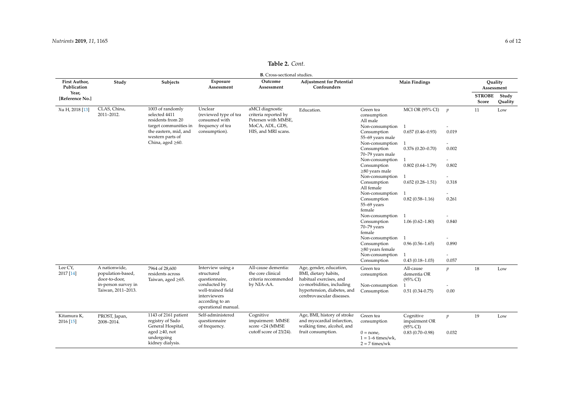| <b>B.</b> Cross-sectional studies. |                                                     |                                                                 |                                                                                              |                                                                  |                                                                                         |                                                          |                                                   |                                   |                        |                  |
|------------------------------------|-----------------------------------------------------|-----------------------------------------------------------------|----------------------------------------------------------------------------------------------|------------------------------------------------------------------|-----------------------------------------------------------------------------------------|----------------------------------------------------------|---------------------------------------------------|-----------------------------------|------------------------|------------------|
| First Author,<br>Publication       | Study                                               | Subjects                                                        | Exposure<br>Assessment                                                                       | Outcome<br>Assessment                                            | <b>Adjustment for Potential</b><br>Confounders                                          | <b>Main Findings</b>                                     |                                                   |                                   | Ouality<br>Assessment  |                  |
| Year,<br>[Reference No.]           |                                                     |                                                                 |                                                                                              |                                                                  |                                                                                         |                                                          |                                                   |                                   | <b>STROBE</b><br>Score | Study<br>Quality |
| Xu H, 2018 [13]                    | CLAS, China,<br>2011-2012.                          | 1003 of randomly<br>selected 4411<br>residents from 20          | Unclear<br>(reviewed type of tea<br>consumed with                                            | aMCI diagnostic<br>criteria reported by<br>Petersen with MMSE,   | Education.                                                                              | Green tea<br>consumption<br>All male                     | <b>MCI OR (95% CI)</b>                            | $\boldsymbol{p}$                  | 11                     | Low              |
|                                    |                                                     | target communities in                                           | frequency of tea                                                                             | MoCA, ADL, GDS,                                                  |                                                                                         | Non-consumption                                          | $\overline{1}$                                    | $\overline{\phantom{a}}$          |                        |                  |
|                                    |                                                     | the eastern, mid, and<br>western parts of                       | consumption).                                                                                | HIS, and MRI scans.                                              |                                                                                         | Consumption<br>55-69 years male                          | $0.657(0.46 - 0.93)$                              | 0.019                             |                        |                  |
|                                    |                                                     | China, aged $\geq 60$ .                                         |                                                                                              |                                                                  |                                                                                         | Non-consumption<br>Consumption<br>70-79 years male       | $\overline{1}$<br>$0.376(0.20 - 0.70)$            | $\overline{\phantom{a}}$<br>0.002 |                        |                  |
|                                    |                                                     |                                                                 |                                                                                              |                                                                  |                                                                                         | Non-consumption                                          |                                                   |                                   |                        |                  |
|                                    |                                                     |                                                                 |                                                                                              |                                                                  |                                                                                         | Consumption<br>$\geq$ 80 years male                      | $0.802(0.64 - 1.79)$                              | 0.802                             |                        |                  |
|                                    |                                                     |                                                                 |                                                                                              |                                                                  |                                                                                         | Non-consumption                                          | -1                                                | $\overline{\phantom{a}}$          |                        |                  |
|                                    |                                                     |                                                                 |                                                                                              |                                                                  |                                                                                         | Consumption<br>All female                                | $0.652(0.28 - 1.51)$                              | 0.318                             |                        |                  |
|                                    |                                                     |                                                                 |                                                                                              |                                                                  |                                                                                         | Non-consumption                                          | -1                                                |                                   |                        |                  |
|                                    |                                                     |                                                                 |                                                                                              |                                                                  |                                                                                         | Consumption<br>$55-69$ years<br>female                   | $0.82(0.58 - 1.16)$                               | 0.261                             |                        |                  |
|                                    |                                                     |                                                                 |                                                                                              |                                                                  |                                                                                         | Non-consumption<br>Consumption<br>70-79 years<br>female  | $1.06(0.62 - 1.80)$                               | 0.840                             |                        |                  |
|                                    |                                                     |                                                                 |                                                                                              |                                                                  |                                                                                         | Non-consumption<br>Consumption<br>$\geq$ 80 years female | -1<br>$0.96(0.56 - 1.65)$                         | 0.890                             |                        |                  |
|                                    |                                                     |                                                                 |                                                                                              |                                                                  |                                                                                         | Non-consumption                                          | $\mathbf{1}$                                      | $\overline{\phantom{a}}$          |                        |                  |
|                                    |                                                     |                                                                 |                                                                                              |                                                                  |                                                                                         | Consumption                                              | $0.43(0.18-1.03)$                                 | 0.057                             |                        |                  |
| Lee CY,<br>2017 [14]               | A nationwide,<br>population-based,<br>door-to-door, | 7964 of 28,600<br>residents across<br>Taiwan, aged $\geq 65$ .  | Interview using a<br>structured<br>questionnaire,                                            | All-cause dementia:<br>the core clinical<br>criteria recommended | Age, gender, education,<br>BMI, dietary habits,<br>habitual exercises, and              | Green tea<br>consumption                                 | All-cause<br>dementia OR<br>$(95\% \text{ CI})$   | $\boldsymbol{p}$                  | 18                     | Low              |
|                                    | in-person survey in<br>Taiwan, 2011-2013.           |                                                                 | conducted by<br>well-trained field<br>interviewers<br>according to an<br>operational manual. | by NIA-AA.                                                       | co-morbidities, including<br>hypertension, diabetes, and<br>cerebrovascular diseases.   | Non-consumption<br>Consumption                           | $0.51(0.34 - 0.75)$                               | 0.00                              |                        |                  |
| Kitamura K,<br>2016 [15]           | PROST, Japan,<br>2008-2014.                         | $1143$ of 2161 patient<br>registry of Sado<br>General Hospital, | Self-administered<br>questionnaire<br>of frequency.                                          | Cognitive<br>impairment: MMSE<br>score <24 (MMSE                 | Age, BMI, history of stroke<br>and myocardial infarction,<br>walking time, alcohol, and | Green tea<br>consumption                                 | Cognitive<br>impairment OR<br>$(95\% \text{ CI})$ | $\boldsymbol{p}$                  | 19                     | Low              |
|                                    |                                                     | aged $\geq$ 40, not<br>undergoing<br>kidney dialysis.           |                                                                                              | cutoff score of 23/24).                                          | fruit consumption.                                                                      | $0 = none$ ,<br>$1 = 1-6$ times/wk,<br>$2 = 7$ times/wk  | $0.83(0.70-0.98)$                                 | 0.032                             |                        |                  |

## **Table 2.** *Cont.*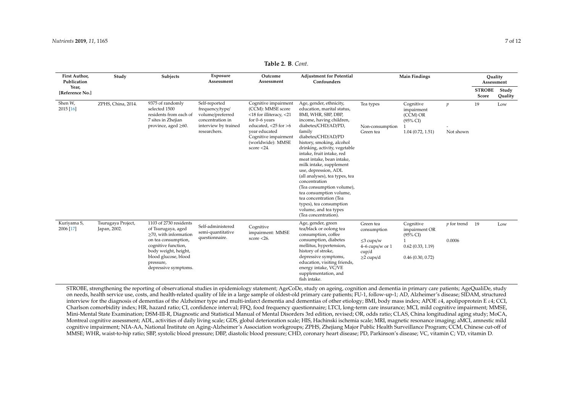| First Author,<br>Publication | Study                              | Subjects                                                                                                                                                                                                       | Exposure<br>Assessment                                                                                           | Outcome<br>Assessment                                                                                                                                                                                      | <b>Adjustment for Potential</b><br>Confounders                                                                                                                                                                                                                                                                                                                                                                                                                                                                                                              | <b>Main Findings</b>                                                                           |                                                                                           |                               | Ouality<br>Assessment  |                  |
|------------------------------|------------------------------------|----------------------------------------------------------------------------------------------------------------------------------------------------------------------------------------------------------------|------------------------------------------------------------------------------------------------------------------|------------------------------------------------------------------------------------------------------------------------------------------------------------------------------------------------------------|-------------------------------------------------------------------------------------------------------------------------------------------------------------------------------------------------------------------------------------------------------------------------------------------------------------------------------------------------------------------------------------------------------------------------------------------------------------------------------------------------------------------------------------------------------------|------------------------------------------------------------------------------------------------|-------------------------------------------------------------------------------------------|-------------------------------|------------------------|------------------|
| Year,<br>[Reference No.]     |                                    |                                                                                                                                                                                                                |                                                                                                                  |                                                                                                                                                                                                            |                                                                                                                                                                                                                                                                                                                                                                                                                                                                                                                                                             |                                                                                                |                                                                                           |                               | <b>STROBE</b><br>Score | Study<br>Quality |
| Shen W,<br>2015 [16]         | ZPHS, China, 2014.                 | 9375 of randomly<br>selected 1500<br>residents from each of<br>7 sites in Zhejian<br>province, aged $\geq 60$ .                                                                                                | Self-reported<br>frequency/type/<br>volume/preferred<br>concentration in<br>interview by trained<br>researchers. | Cognitive impairment<br>(CCM): MMSE score<br>$<$ 18 for illiteracy, $<$ 21<br>for $0-6$ years<br>educated, $<$ 25 for $>$ 6<br>vear educated<br>Cognitive impairment<br>(worldwide): MMSE<br>score $<$ 24. | Age, gender, ethnicity,<br>education, marital status,<br>BMI, WHR, SBP, DBP,<br>income, having children,<br>diabetes/CHD/AD/PD,<br>family<br>diabetes/CHD/AD/PD<br>history, smoking, alcohol<br>drinking, activity, vegetable<br>intake, fruit intake, red<br>meat intake, bean intake,<br>milk intake, supplement<br>use, depression, ADL<br>(all analyses), tea types, tea<br>concentration<br>(Tea consumption volume),<br>tea consumption volume,<br>tea concentration (Tea<br>types), tea consumption<br>volume, and tea types<br>(Tea concentration). | Tea types<br>Non-consumption<br>Green tea                                                      | Cognitive<br>impairment<br>$(CCM)$ OR<br>$(95\% \text{ CI})$<br>$1.04$ (0.72, 1.51)       | $\boldsymbol{p}$<br>Not shown | 19                     | Low              |
| Kuriyama S,<br>2006 [17]     | Tsurugaya Project,<br>Japan, 2002. | 1103 of 2730 residents<br>of Tsurugaya, aged<br>$\geq$ 70, with information<br>on tea consumption,<br>cognitive function,<br>body weight, height,<br>blood glucose, blood<br>pressure,<br>depressive symptoms. | Self-administered<br>semi-quantitative<br>questionnaire.                                                         | Cognitive<br>impairment: MMSE<br>score $<$ 26.                                                                                                                                                             | Age, gender, green<br>tea/black or oolong tea<br>consumption, coffee<br>consumption, diabetes<br>mellitus, hypertension,<br>history of stroke,<br>depressive symptoms,<br>education, visiting friends,<br>energy intake, VC/VE<br>supplementation, and<br>fish intake.                                                                                                                                                                                                                                                                                      | Green tea<br>consumption<br>$\leq$ 3 cups/w<br>$4-6$ cups/w or $1$<br>cup/d<br>$\geq$ 2 cups/d | Cognitive<br>impairment OR<br>$(95\% \text{ CI})$<br>0.62(0.33, 1.19)<br>0.46(0.30, 0.72) | <i>p</i> for trend<br>0.0006  | 19                     | Low              |

**Table 2. B**. *Cont.*

STROBE, strengthening the reporting of observational studies in epidemiology statement; AgeCoDe, study on ageing, cognition and dementia in primary care patients; AgeQualiDe, study on needs, health service use, costs, and health-related quality of life in a large sample of oldest-old primary care patients; FU-1, follow-up-1; AD, Alzheimer's disease; SIDAM, structured interview for the diagnosis of dementias of the Alzheimer type and multi-infarct dementia and dementias of other etiology; BMI, body mass index; APOE ε4, apolipoprotein E ε4; CCI, Charlson comorbidity index; HR, hazard ratio; CI, confidence interval; FFQ, food frequency questionnaire; LTCI, long-term care insurance; MCI, mild cognitive impairment; MMSE, Mini-Mental State Examination; DSM-III-R, Diagnostic and Statistical Manual of Mental Disorders 3rd edition, revised; OR, odds ratio; CLAS, China longitudinal aging study; MoCA, Montreal cognitive assessment; ADL, activities of daily living scale; GDS, global deterioration scale; HIS, Hachinski ischemia scale; MRI, magnetic resonance imaging; aMCI, amnestic mild cognitive impairment; NIA-AA, National Institute on Aging-Alzheimer's Association workgroups; ZPHS, Zhejiang Major Public Health Surveillance Program; CCM, Chinese cut-off of MMSE; WHR, waist-to-hip ratio; SBP, systolic blood pressure; DBP, diastolic blood pressure; CHD, coronary heart disease; PD, Parkinson's disease; VC, vitamin C; VD, vitamin D.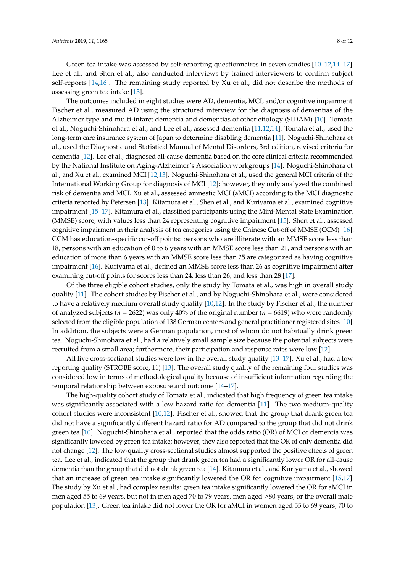Green tea intake was assessed by self-reporting questionnaires in seven studies [\[10](#page-10-6)[–12,](#page-10-8)[14–](#page-10-18)[17\]](#page-10-7). Lee et al., and Shen et al., also conducted interviews by trained interviewers to confirm subject self-reports [\[14](#page-10-18)[,16\]](#page-10-19). The remaining study reported by Xu et al., did not describe the methods of assessing green tea intake [\[13\]](#page-10-9).

The outcomes included in eight studies were AD, dementia, MCI, and/or cognitive impairment. Fischer et al., measured AD using the structured interview for the diagnosis of dementias of the Alzheimer type and multi-infarct dementia and dementias of other etiology (SIDAM) [\[10\]](#page-10-6). Tomata et al., Noguchi-Shinohara et al., and Lee et al., assessed dementia [\[11](#page-10-17)[,12](#page-10-8)[,14\]](#page-10-18). Tomata et al., used the long-term care insurance system of Japan to determine disabling dementia [\[11\]](#page-10-17). Noguchi-Shinohara et al., used the Diagnostic and Statistical Manual of Mental Disorders, 3rd edition, revised criteria for dementia [\[12\]](#page-10-8). Lee et al., diagnosed all-cause dementia based on the core clinical criteria recommended by the National Institute on Aging-Alzheimer's Association workgroups [\[14\]](#page-10-18). Noguchi-Shinohara et al., and Xu et al., examined MCI [\[12,](#page-10-8)[13\]](#page-10-9). Noguchi-Shinohara et al., used the general MCI criteria of the International Working Group for diagnosis of MCI [\[12\]](#page-10-8); however, they only analyzed the combined risk of dementia and MCI. Xu et al., assessed amnestic MCI (aMCI) according to the MCI diagnostic criteria reported by Petersen [\[13\]](#page-10-9). Kitamura et al., Shen et al., and Kuriyama et al., examined cognitive impairment [\[15](#page-10-20)[–17\]](#page-10-7). Kitamura et al., classified participants using the Mini-Mental State Examination (MMSE) score, with values less than 24 representing cognitive impairment [\[15\]](#page-10-20). Shen et al., assessed cognitive impairment in their analysis of tea categories using the Chinese Cut-off of MMSE (CCM) [\[16\]](#page-10-19). CCM has education-specific cut-off points: persons who are illiterate with an MMSE score less than 18, persons with an education of 0 to 6 years with an MMSE score less than 21, and persons with an education of more than 6 years with an MMSE score less than 25 are categorized as having cognitive impairment [\[16\]](#page-10-19). Kuriyama et al., defined an MMSE score less than 26 as cognitive impairment after examining cut-off points for scores less than 24, less than 26, and less than 28 [\[17\]](#page-10-7).

Of the three eligible cohort studies, only the study by Tomata et al., was high in overall study quality [\[11\]](#page-10-17). The cohort studies by Fischer et al., and by Noguchi-Shinohara et al., were considered to have a relatively medium overall study quality [\[10](#page-10-6)[,12\]](#page-10-8). In the study by Fischer et al., the number of analyzed subjects (*n* = 2622) was only 40% of the original number (*n* = 6619) who were randomly selected from the eligible population of 138 German centers and general practitioner registered sites [\[10\]](#page-10-6). In addition, the subjects were a German population, most of whom do not habitually drink green tea. Noguchi-Shinohara et al., had a relatively small sample size because the potential subjects were recruited from a small area; furthermore, their participation and response rates were low [\[12\]](#page-10-8).

All five cross-sectional studies were low in the overall study quality [\[13–](#page-10-9)[17\]](#page-10-7). Xu et al., had a low reporting quality (STROBE score, 11) [\[13\]](#page-10-9). The overall study quality of the remaining four studies was considered low in terms of methodological quality because of insufficient information regarding the temporal relationship between exposure and outcome [\[14–](#page-10-18)[17\]](#page-10-7).

The high-quality cohort study of Tomata et al., indicated that high frequency of green tea intake was significantly associated with a low hazard ratio for dementia [\[11\]](#page-10-17). The two medium-quality cohort studies were inconsistent [\[10,](#page-10-6)[12\]](#page-10-8). Fischer et al., showed that the group that drank green tea did not have a significantly different hazard ratio for AD compared to the group that did not drink green tea [\[10\]](#page-10-6). Noguchi-Shinohara et al., reported that the odds ratio (OR) of MCI or dementia was significantly lowered by green tea intake; however, they also reported that the OR of only dementia did not change [\[12\]](#page-10-8). The low-quality cross-sectional studies almost supported the positive effects of green tea. Lee et al., indicated that the group that drank green tea had a significantly lower OR for all-cause dementia than the group that did not drink green tea [\[14\]](#page-10-18). Kitamura et al., and Kuriyama et al., showed that an increase of green tea intake significantly lowered the OR for cognitive impairment [\[15,](#page-10-20)[17\]](#page-10-7). The study by Xu et al., had complex results: green tea intake significantly lowered the OR for aMCI in men aged 55 to 69 years, but not in men aged 70 to 79 years, men aged ≥80 years, or the overall male population [\[13\]](#page-10-9). Green tea intake did not lower the OR for aMCI in women aged 55 to 69 years, 70 to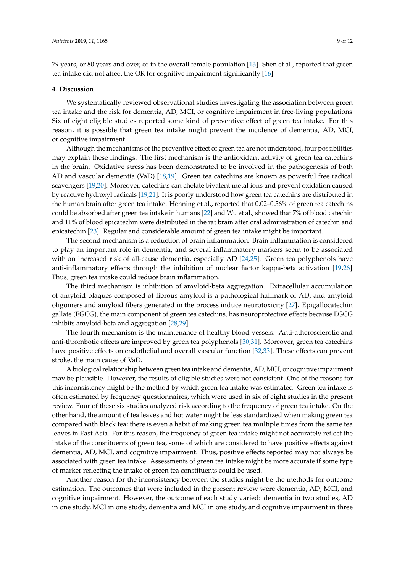79 years, or 80 years and over, or in the overall female population [\[13\]](#page-10-9). Shen et al., reported that green tea intake did not affect the OR for cognitive impairment significantly [\[16\]](#page-10-19).

#### **4. Discussion**

We systematically reviewed observational studies investigating the association between green tea intake and the risk for dementia, AD, MCI, or cognitive impairment in free-living populations. Six of eight eligible studies reported some kind of preventive effect of green tea intake. For this reason, it is possible that green tea intake might prevent the incidence of dementia, AD, MCI, or cognitive impairment.

Although the mechanisms of the preventive effect of green tea are not understood, four possibilities may explain these findings. The first mechanism is the antioxidant activity of green tea catechins in the brain. Oxidative stress has been demonstrated to be involved in the pathogenesis of both AD and vascular dementia (VaD) [\[18,](#page-10-21)[19\]](#page-10-22). Green tea catechins are known as powerful free radical scavengers [\[19](#page-10-22)[,20\]](#page-10-23). Moreover, catechins can chelate bivalent metal ions and prevent oxidation caused by reactive hydroxyl radicals [\[19,](#page-10-22)[21\]](#page-10-24). It is poorly understood how green tea catechins are distributed in the human brain after green tea intake. Henning et al., reported that 0.02–0.56% of green tea catechins could be absorbed after green tea intake in humans [\[22\]](#page-10-25) and Wu et al., showed that 7% of blood catechin and 11% of blood epicatechin were distributed in the rat brain after oral administration of catechin and epicatechin [\[23\]](#page-11-0). Regular and considerable amount of green tea intake might be important.

The second mechanism is a reduction of brain inflammation. Brain inflammation is considered to play an important role in dementia, and several inflammatory markers seem to be associated with an increased risk of all-cause dementia, especially AD [\[24](#page-11-1)[,25\]](#page-11-2). Green tea polyphenols have anti-inflammatory effects through the inhibition of nuclear factor kappa-beta activation [\[19,](#page-10-22)[26\]](#page-11-3). Thus, green tea intake could reduce brain inflammation.

The third mechanism is inhibition of amyloid-beta aggregation. Extracellular accumulation of amyloid plaques composed of fibrous amyloid is a pathological hallmark of AD, and amyloid oligomers and amyloid fibers generated in the process induce neurotoxicity [\[27\]](#page-11-4). Epigallocatechin gallate (EGCG), the main component of green tea catechins, has neuroprotective effects because EGCG inhibits amyloid-beta and aggregation [\[28](#page-11-5)[,29\]](#page-11-6).

The fourth mechanism is the maintenance of healthy blood vessels. Anti-atherosclerotic and anti-thrombotic effects are improved by green tea polyphenols [\[30](#page-11-7)[,31\]](#page-11-8). Moreover, green tea catechins have positive effects on endothelial and overall vascular function [\[32](#page-11-9)[,33\]](#page-11-10). These effects can prevent stroke, the main cause of VaD.

A biological relationship between green tea intake and dementia, AD, MCI, or cognitive impairment may be plausible. However, the results of eligible studies were not consistent. One of the reasons for this inconsistency might be the method by which green tea intake was estimated. Green tea intake is often estimated by frequency questionnaires, which were used in six of eight studies in the present review. Four of these six studies analyzed risk according to the frequency of green tea intake. On the other hand, the amount of tea leaves and hot water might be less standardized when making green tea compared with black tea; there is even a habit of making green tea multiple times from the same tea leaves in East Asia. For this reason, the frequency of green tea intake might not accurately reflect the intake of the constituents of green tea, some of which are considered to have positive effects against dementia, AD, MCI, and cognitive impairment. Thus, positive effects reported may not always be associated with green tea intake. Assessments of green tea intake might be more accurate if some type of marker reflecting the intake of green tea constituents could be used.

Another reason for the inconsistency between the studies might be the methods for outcome estimation. The outcomes that were included in the present review were dementia, AD, MCI, and cognitive impairment. However, the outcome of each study varied: dementia in two studies, AD in one study, MCI in one study, dementia and MCI in one study, and cognitive impairment in three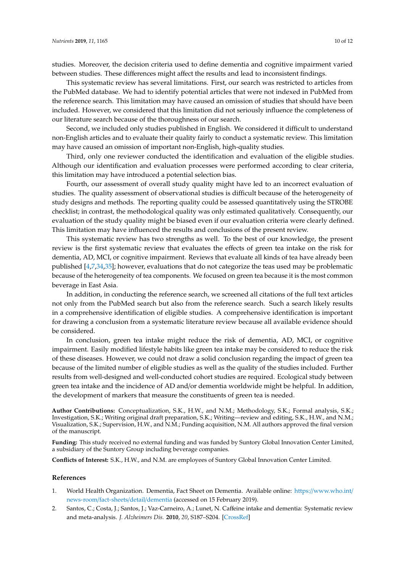studies. Moreover, the decision criteria used to define dementia and cognitive impairment varied between studies. These differences might affect the results and lead to inconsistent findings.

This systematic review has several limitations. First, our search was restricted to articles from the PubMed database. We had to identify potential articles that were not indexed in PubMed from the reference search. This limitation may have caused an omission of studies that should have been included. However, we considered that this limitation did not seriously influence the completeness of our literature search because of the thoroughness of our search.

Second, we included only studies published in English. We considered it difficult to understand non-English articles and to evaluate their quality fairly to conduct a systematic review. This limitation may have caused an omission of important non-English, high-quality studies.

Third, only one reviewer conducted the identification and evaluation of the eligible studies. Although our identification and evaluation processes were performed according to clear criteria, this limitation may have introduced a potential selection bias.

Fourth, our assessment of overall study quality might have led to an incorrect evaluation of studies. The quality assessment of observational studies is difficult because of the heterogeneity of study designs and methods. The reporting quality could be assessed quantitatively using the STROBE checklist; in contrast, the methodological quality was only estimated qualitatively. Consequently, our evaluation of the study quality might be biased even if our evaluation criteria were clearly defined. This limitation may have influenced the results and conclusions of the present review.

This systematic review has two strengths as well. To the best of our knowledge, the present review is the first systematic review that evaluates the effects of green tea intake on the risk for dementia, AD, MCI, or cognitive impairment. Reviews that evaluate all kinds of tea have already been published [\[4](#page-10-0)[,7](#page-10-3)[,34](#page-11-11)[,35\]](#page-11-12); however, evaluations that do not categorize the teas used may be problematic because of the heterogeneity of tea components. We focused on green tea because it is the most common beverage in East Asia.

In addition, in conducting the reference search, we screened all citations of the full text articles not only from the PubMed search but also from the reference search. Such a search likely results in a comprehensive identification of eligible studies. A comprehensive identification is important for drawing a conclusion from a systematic literature review because all available evidence should be considered.

In conclusion, green tea intake might reduce the risk of dementia, AD, MCI, or cognitive impairment. Easily modified lifestyle habits like green tea intake may be considered to reduce the risk of these diseases. However, we could not draw a solid conclusion regarding the impact of green tea because of the limited number of eligible studies as well as the quality of the studies included. Further results from well-designed and well-conducted cohort studies are required. Ecological study between green tea intake and the incidence of AD and/or dementia worldwide might be helpful. In addition, the development of markers that measure the constituents of green tea is needed.

**Author Contributions:** Conceptualization, S.K., H.W., and N.M.; Methodology, S.K.; Formal analysis, S.K.; Investigation, S.K.; Writing original draft preparation, S.K.; Writing—review and editing, S.K., H.W., and N.M.; Visualization, S.K.; Supervision, H.W., and N.M.; Funding acquisition, N.M. All authors approved the final version of the manuscript.

**Funding:** This study received no external funding and was funded by Suntory Global Innovation Center Limited, a subsidiary of the Suntory Group including beverage companies.

**Conflicts of Interest:** S.K., H.W., and N.M. are employees of Suntory Global Innovation Center Limited.

#### **References**

- <span id="page-9-0"></span>1. World Health Organization. Dementia, Fact Sheet on Dementia. Available online: https://[www.who.int](https://www.who.int/news-room/fact-sheets/detail/dementia)/ [news-room](https://www.who.int/news-room/fact-sheets/detail/dementia)/fact-sheets/detail/dementia (accessed on 15 February 2019).
- <span id="page-9-1"></span>2. Santos, C.; Costa, J.; Santos, J.; Vaz-Carneiro, A.; Lunet, N. Caffeine intake and dementia: Systematic review and meta-analysis. *J. Alzheimers Dis.* **2010**, *20*, S187–S204. [\[CrossRef\]](http://dx.doi.org/10.3233/JAD-2010-091387)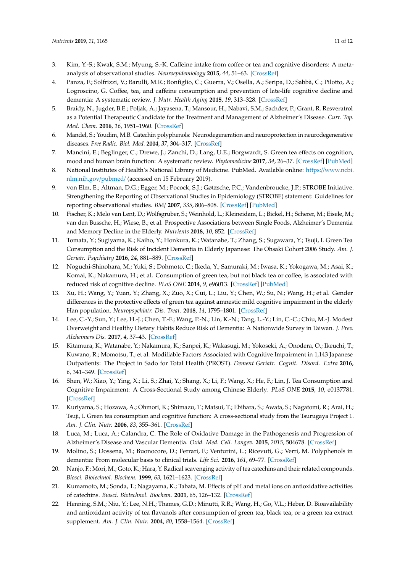- <span id="page-10-11"></span><span id="page-10-10"></span>3. Kim, Y.-S.; Kwak, S.M.; Myung, S.-K. Caffeine intake from coffee or tea and cognitive disorders: A metaanalysis of observational studies. *Neuroepidemiology* **2015**, *44*, 51–63. [\[CrossRef\]](http://dx.doi.org/10.1159/000371710)
- <span id="page-10-12"></span><span id="page-10-0"></span>4. Panza, F.; Solfrizzi, V.; Barulli, M.R.; Bonfiglio, C.; Guerra, V.; Osella, A.; Seripa, D.; Sabbà, C.; Pilotto, A.; Logroscino, G. Coffee, tea, and caffeine consumption and prevention of late-life cognitive decline and dementia: A systematic review. *J. Nutr. Health Aging* **2015**, *19*, 313–328. [\[CrossRef\]](http://dx.doi.org/10.1007/s12603-014-0563-8)
- <span id="page-10-1"></span>5. Braidy, N.; Jugder, B.E.; Poljak, A.; Jayasena, T.; Mansour, H.; Nabavi, S.M.; Sachdev, P.; Grant, R. Resveratrol as a Potential Therapeutic Candidate for the Treatment and Management of Alzheimer's Disease. *Curr. Top. Med. Chem.* **2016**, *16*, 1951–1960. [\[CrossRef\]](http://dx.doi.org/10.2174/1568026616666160204121431)
- <span id="page-10-13"></span><span id="page-10-2"></span>6. Mandel, S.; Youdim, M.B. Catechin polyphenols: Neurodegeneration and neuroprotection in neurodegenerative diseases. *Free Radic. Biol. Med.* **2004**, *37*, 304–317. [\[CrossRef\]](http://dx.doi.org/10.1016/j.freeradbiomed.2004.04.012)
- <span id="page-10-14"></span><span id="page-10-3"></span>7. Mancini, E.; Beglinger, C.; Drewe, J.; Zanchi, D.; Lang, U.E.; Borgwardt, S. Green tea effects on cognition, mood and human brain function: A systematic review. *Phytomedicine* **2017**, *34*, 26–37. [\[CrossRef\]](http://dx.doi.org/10.1016/j.phymed.2017.07.008) [\[PubMed\]](http://www.ncbi.nlm.nih.gov/pubmed/28899506)
- <span id="page-10-15"></span><span id="page-10-4"></span>8. National Institutes of Health's National Library of Medicine. PubMed. Available online: https://[www.ncbi.](https://www.ncbi.nlm.nih.gov/pubmed/) [nlm.nih.gov](https://www.ncbi.nlm.nih.gov/pubmed/)/pubmed/ (accessed on 15 February 2019).
- <span id="page-10-5"></span>9. von Elm, E.; Altman, D.G.; Egger, M.; Pocock, S.J.; Gøtzsche, P.C.; Vandenbroucke, J.P.; STROBE Initiative. Strengthening the Reporting of Observational Studies in Epidemiology (STROBE) statement: Guidelines for reporting observational studies. *BMJ* **2007**, *335*, 806–808. [\[CrossRef\]](http://dx.doi.org/10.1136/bmj.39335.541782.AD) [\[PubMed\]](http://www.ncbi.nlm.nih.gov/pubmed/17947786)
- <span id="page-10-16"></span><span id="page-10-6"></span>10. Fischer, K.; Melo van Lent, D.; Wolfsgruber, S.; Weinhold, L.; Kleineidam, L.; Bickel, H.; Scherer, M.; Eisele, M.; van den Bussche, H.; Wiese, B.; et al. Prospective Associations between Single Foods, Alzheimer's Dementia and Memory Decline in the Elderly. *Nutrients* **2018**, *10*, 852. [\[CrossRef\]](http://dx.doi.org/10.3390/nu10070852)
- <span id="page-10-17"></span>11. Tomata, Y.; Sugiyama, K.; Kaiho, Y.; Honkura, K.; Watanabe, T.; Zhang, S.; Sugawara, Y.; Tsuji, I. Green Tea Consumption and the Risk of Incident Dementia in Elderly Japanese: The Ohsaki Cohort 2006 Study. *Am. J. Geriatr. Psychiatry* **2016**, *24*, 881–889. [\[CrossRef\]](http://dx.doi.org/10.1016/j.jagp.2016.07.009)
- <span id="page-10-8"></span>12. Noguchi-Shinohara, M.; Yuki, S.; Dohmoto, C.; Ikeda, Y.; Samuraki, M.; Iwasa, K.; Yokogawa, M.; Asai, K.; Komai, K.; Nakamura, H.; et al. Consumption of green tea, but not black tea or coffee, is associated with reduced risk of cognitive decline. *PLoS ONE* **2014**, *9*, e96013. [\[CrossRef\]](http://dx.doi.org/10.1371/journal.pone.0096013) [\[PubMed\]](http://www.ncbi.nlm.nih.gov/pubmed/24828424)
- <span id="page-10-9"></span>13. Xu, H.; Wang, Y.; Yuan, Y.; Zhang, X.; Zuo, X.; Cui, L.; Liu, Y.; Chen, W.; Su, N.; Wang, H.; et al. Gender differences in the protective effects of green tea against amnestic mild cognitive impairment in the elderly Han population. *Neuropsychiatr. Dis. Treat.* **2018**, *14*, 1795–1801. [\[CrossRef\]](http://dx.doi.org/10.2147/NDT.S165618)
- <span id="page-10-18"></span>14. Lee, C.-Y.; Sun, Y.; Lee, H.-J.; Chen, T.-F.; Wang, P.-N.; Lin, K.-N.; Tang, L.-Y.; Lin, C.-C.; Chiu, M.-J. Modest Overweight and Healthy Dietary Habits Reduce Risk of Dementia: A Nationwide Survey in Taiwan. *J. Prev. Alzheimers Dis.* **2017**, *4*, 37–43. [\[CrossRef\]](http://dx.doi.org/10.14283/jpad.2016.123)
- <span id="page-10-20"></span>15. Kitamura, K.; Watanabe, Y.; Nakamura, K.; Sanpei, K.; Wakasugi, M.; Yokoseki, A.; Onodera, O.; Ikeuchi, T.; Kuwano, R.; Momotsu, T.; et al. Modifiable Factors Associated with Cognitive Impairment in 1,143 Japanese Outpatients: The Project in Sado for Total Health (PROST). *Dement Geriatr. Cognit. Disord. Extra* **2016**, *6*, 341–349. [\[CrossRef\]](http://dx.doi.org/10.1159/000447963)
- <span id="page-10-19"></span>16. Shen, W.; Xiao, Y.; Ying, X.; Li, S.; Zhai, Y.; Shang, X.; Li, F.; Wang, X.; He, F.; Lin, J. Tea Consumption and Cognitive Impairment: A Cross-Sectional Study among Chinese Elderly. *PLoS ONE* **2015**, *10*, e0137781. [\[CrossRef\]](http://dx.doi.org/10.1371/journal.pone.0140739)
- <span id="page-10-7"></span>17. Kuriyama, S.; Hozawa, A.; Ohmori, K.; Shimazu, T.; Matsui, T.; Ebihara, S.; Awata, S.; Nagatomi, R.; Arai, H.; Tsuji, I. Green tea consumption and cognitive function: A cross-sectional study from the Tsurugaya Project 1. *Am. J. Clin. Nutr.* **2006**, *83*, 355–361. [\[CrossRef\]](http://dx.doi.org/10.1093/ajcn/83.2.355)
- <span id="page-10-21"></span>18. Luca, M.; Luca, A.; Calandra, C. The Role of Oxidative Damage in the Pathogenesis and Progression of Alzheimer's Disease and Vascular Dementia. *Oxid. Med. Cell. Longev.* **2015**, *2015*, 504678. [\[CrossRef\]](http://dx.doi.org/10.1155/2015/504678)
- <span id="page-10-22"></span>19. Molino, S.; Dossena, M.; Buonocore, D.; Ferrari, F.; Venturini, L.; Ricevuti, G.; Verri, M. Polyphenols in dementia: From molecular basis to clinical trials. *Life Sci.* **2016**, *161*, 69–77. [\[CrossRef\]](http://dx.doi.org/10.1016/j.lfs.2016.07.021)
- <span id="page-10-23"></span>20. Nanjo, F.; Mori, M.; Goto, K.; Hara, Y. Radical scavenging activity of tea catechins and their related compounds. *Biosci. Biotechnol. Biochem.* **1999**, *63*, 1621–1623. [\[CrossRef\]](http://dx.doi.org/10.1271/bbb.63.1621)
- <span id="page-10-24"></span>21. Kumamoto, M.; Sonda, T.; Nagayama, K.; Tabata, M. Effects of pH and metal ions on antioxidative activities of catechins. *Biosci. Biotechnol. Biochem.* **2001**, *65*, 126–132. [\[CrossRef\]](http://dx.doi.org/10.1271/bbb.65.126)
- <span id="page-10-25"></span>22. Henning, S.M.; Niu, Y.; Lee, N.H.; Thames, G.D.; Minutti, R.R.; Wang, H.; Go, V.L.; Heber, D. Bioavailability and antioxidant activity of tea flavanols after consumption of green tea, black tea, or a green tea extract supplement. *Am. J. Clin. Nutr.* **2004**, *80*, 1558–1564. [\[CrossRef\]](http://dx.doi.org/10.1093/ajcn/80.6.1558)